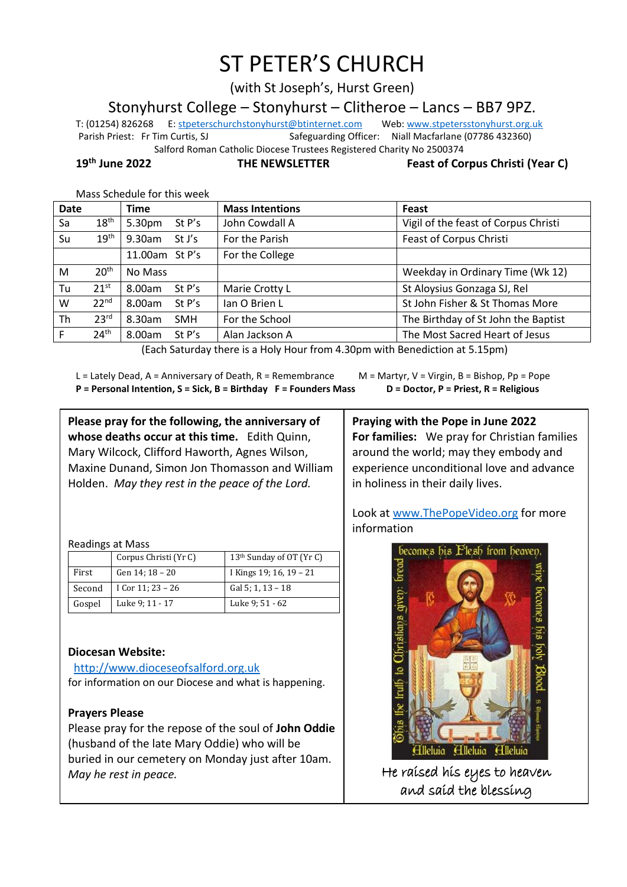# ST PETER'S CHURCH

(with St Joseph's, Hurst Green)

Stonyhurst College – Stonyhurst – Clitheroe – Lancs – BB7 9PZ.

T: (01254) 826268 E[: stpeterschurchstonyhurst@btinternet.com](mailto:stpeterschurchstonyhurst@btinternet.com) Web[: www.stpetersstonyhurst.org.uk](http://www.stpetersstonyhurst.org.uk/) Parish Priest: Fr Tim Curtis, SJ Safeguarding Officer: Niall Macfarlane (07786 432360) Salford Roman Catholic Diocese Trustees Registered Charity No 2500374

**19th June 2022 THE NEWSLETTER Feast of Corpus Christi (Year C)**

Mass Schedule for this week

| Vigil of the feast of Corpus Christi                                                                               |
|--------------------------------------------------------------------------------------------------------------------|
| Feast of Corpus Christi                                                                                            |
|                                                                                                                    |
| Weekday in Ordinary Time (Wk 12)                                                                                   |
| St Aloysius Gonzaga SJ, Rel                                                                                        |
| St John Fisher & St Thomas More                                                                                    |
| The Birthday of St John the Baptist                                                                                |
| The Most Sacred Heart of Jesus                                                                                     |
| $I$ es de estadounidos de la contradición de la contradición de la contradición de la escola de la contradición de |

(Each Saturday there is a Holy Hour from 4.30pm with Benediction at 5.15pm)

L = Lately Dead, A = Anniversary of Death, R = Remembrance M = Martyr, V = Virgin, B = Bishop, Pp = Pope **P = Personal Intention, S = Sick, B = Birthday F = Founders Mass D = Doctor, P = Priest, R = Religious**

**Please pray for the following, the anniversary of whose deaths occur at this time.** Edith Quinn, Mary Wilcock, Clifford Haworth, Agnes Wilson, Maxine Dunand, Simon Jon Thomasson and William Holden. *May they rest in the peace of the Lord.*

Readings at Mass

|        | Corpus Christi (Yr C) | 13 <sup>th</sup> Sunday of OT (Yr C) |
|--------|-----------------------|--------------------------------------|
| First  | Gen 14; 18 - 20       | I Kings 19; 16, 19 – 21              |
| Second | I Cor 11; $23 - 26$   | Gal 5; 1, 13 - 18                    |
| Gospel | Luke 9; 11 - 17       | Luke 9: 51 - 62                      |

# **Diocesan Website:**

http://www.dioceseofsalford.org.uk for information on our Diocese and what is happening.

# **Prayers Please**

Please pray for the repose of the soul of **John Oddie** (husband of the late Mary Oddie) who will be buried in our cemetery on Monday just after 10am. *May he rest in peace.*

**Praying with the Pope in June 2022 For families:** We pray for Christian families around the world; may they embody and experience unconditional love and advance in holiness in their daily lives.

Look at www.ThePopeVideo.org for more information



He raised his eyes to heaven and said the blessing

İ